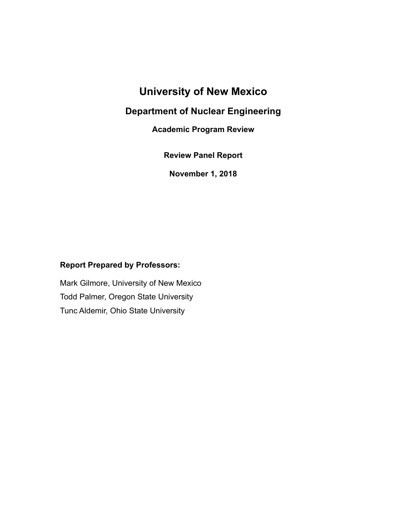# **University of New Mexico**

### **Department of Nuclear Engineering**

**Academic Program Review**

**Review Panel Report** 

**November 1, 2018**

#### **Report Prepared by Professors:**

Mark Gilmore, University of New Mexico Todd Palmer, Oregon State University Tunc Aldemir, Ohio State University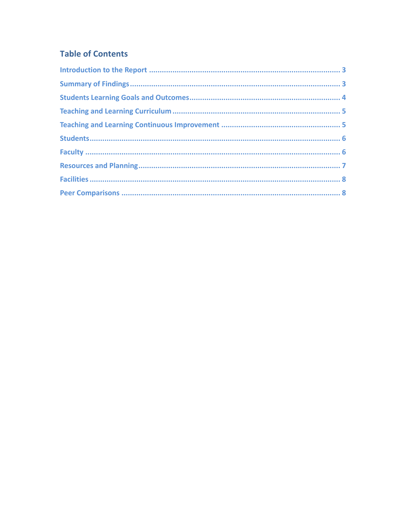# **Table of Contents**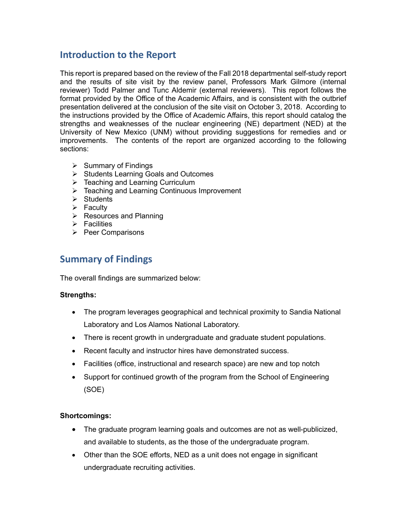### **Introduction to the Report**

This report is prepared based on the review of the Fall 2018 departmental self-study report and the results of site visit by the review panel, Professors Mark Gilmore (internal reviewer) Todd Palmer and Tunc Aldemir (external reviewers). This report follows the format provided by the Office of the Academic Affairs, and is consistent with the outbrief presentation delivered at the conclusion of the site visit on October 3, 2018. According to the instructions provided by the Office of Academic Affairs, this report should catalog the strengths and weaknesses of the nuclear engineering (NE) department (NED) at the University of New Mexico (UNM) without providing suggestions for remedies and or improvements. The contents of the report are organized according to the following sections:

- $\triangleright$  Summary of Findings
- Ø Students Learning Goals and Outcomes
- $\triangleright$  Teaching and Learning Curriculum
- $\triangleright$  Teaching and Learning Continuous Improvement
- $\triangleright$  Students
- $\triangleright$  Faculty
- $\triangleright$  Resources and Planning
- $\triangleright$  Facilities
- $\triangleright$  Peer Comparisons

### **Summary of Findings**

The overall findings are summarized below:

#### **Strengths:**

- The program leverages geographical and technical proximity to Sandia National Laboratory and Los Alamos National Laboratory.
- There is recent growth in undergraduate and graduate student populations.
- Recent faculty and instructor hires have demonstrated success.
- Facilities (office, instructional and research space) are new and top notch
- Support for continued growth of the program from the School of Engineering (SOE)

#### **Shortcomings:**

- The graduate program learning goals and outcomes are not as well-publicized, and available to students, as the those of the undergraduate program.
- Other than the SOE efforts, NED as a unit does not engage in significant undergraduate recruiting activities.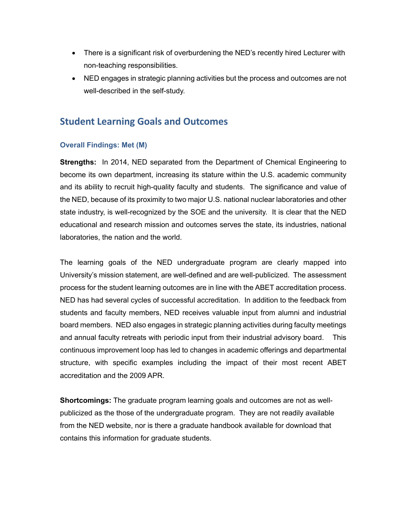- There is a significant risk of overburdening the NED's recently hired Lecturer with non-teaching responsibilities.
- NED engages in strategic planning activities but the process and outcomes are not well-described in the self-study.

### **Student Learning Goals and Outcomes**

#### **Overall Findings: Met (M)**

**Strengths:** In 2014, NED separated from the Department of Chemical Engineering to become its own department, increasing its stature within the U.S. academic community and its ability to recruit high-quality faculty and students. The significance and value of the NED, because of its proximity to two major U.S. national nuclear laboratories and other state industry, is well-recognized by the SOE and the university. It is clear that the NED educational and research mission and outcomes serves the state, its industries, national laboratories, the nation and the world.

The learning goals of the NED undergraduate program are clearly mapped into University's mission statement, are well-defined and are well-publicized. The assessment process for the student learning outcomes are in line with the ABET accreditation process. NED has had several cycles of successful accreditation. In addition to the feedback from students and faculty members, NED receives valuable input from alumni and industrial board members. NED also engages in strategic planning activities during faculty meetings and annual faculty retreats with periodic input from their industrial advisory board. This continuous improvement loop has led to changes in academic offerings and departmental structure, with specific examples including the impact of their most recent ABET accreditation and the 2009 APR.

**Shortcomings:** The graduate program learning goals and outcomes are not as wellpublicized as the those of the undergraduate program. They are not readily available from the NED website, nor is there a graduate handbook available for download that contains this information for graduate students.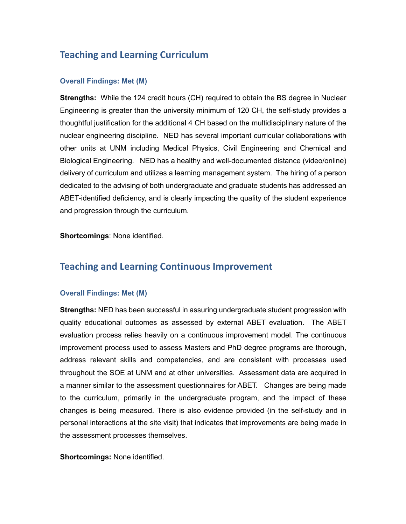## **Teaching and Learning Curriculum**

#### **Overall Findings: Met (M)**

**Strengths:** While the 124 credit hours (CH) required to obtain the BS degree in Nuclear Engineering is greater than the university minimum of 120 CH, the self-study provides a thoughtful justification for the additional 4 CH based on the multidisciplinary nature of the nuclear engineering discipline. NED has several important curricular collaborations with other units at UNM including Medical Physics, Civil Engineering and Chemical and Biological Engineering. NED has a healthy and well-documented distance (video/online) delivery of curriculum and utilizes a learning management system. The hiring of a person dedicated to the advising of both undergraduate and graduate students has addressed an ABET-identified deficiency, and is clearly impacting the quality of the student experience and progression through the curriculum.

**Shortcomings**: None identified.

### **Teaching and Learning Continuous Improvement**

#### **Overall Findings: Met (M)**

**Strengths:** NED has been successful in assuring undergraduate student progression with quality educational outcomes as assessed by external ABET evaluation. The ABET evaluation process relies heavily on a continuous improvement model. The continuous improvement process used to assess Masters and PhD degree programs are thorough, address relevant skills and competencies, and are consistent with processes used throughout the SOE at UNM and at other universities. Assessment data are acquired in a manner similar to the assessment questionnaires for ABET. Changes are being made to the curriculum, primarily in the undergraduate program, and the impact of these changes is being measured. There is also evidence provided (in the self-study and in personal interactions at the site visit) that indicates that improvements are being made in the assessment processes themselves.

**Shortcomings:** None identified.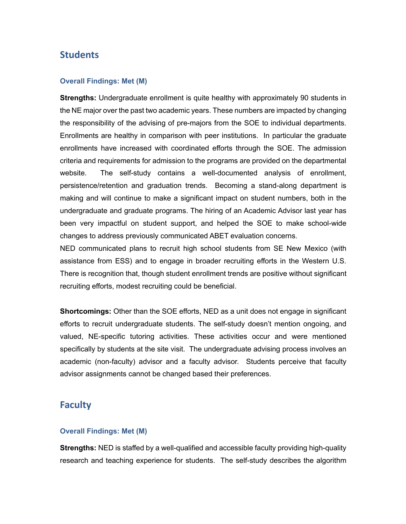### **Students**

#### **Overall Findings: Met (M)**

**Strengths:** Undergraduate enrollment is quite healthy with approximately 90 students in the NE major over the past two academic years. These numbers are impacted by changing the responsibility of the advising of pre-majors from the SOE to individual departments. Enrollments are healthy in comparison with peer institutions. In particular the graduate enrollments have increased with coordinated efforts through the SOE. The admission criteria and requirements for admission to the programs are provided on the departmental website. The self-study contains a well-documented analysis of enrollment, persistence/retention and graduation trends. Becoming a stand-along department is making and will continue to make a significant impact on student numbers, both in the undergraduate and graduate programs. The hiring of an Academic Advisor last year has been very impactful on student support, and helped the SOE to make school-wide changes to address previously communicated ABET evaluation concerns.

NED communicated plans to recruit high school students from SE New Mexico (with assistance from ESS) and to engage in broader recruiting efforts in the Western U.S. There is recognition that, though student enrollment trends are positive without significant recruiting efforts, modest recruiting could be beneficial.

**Shortcomings:** Other than the SOE efforts, NED as a unit does not engage in significant efforts to recruit undergraduate students. The self-study doesn't mention ongoing, and valued, NE-specific tutoring activities. These activities occur and were mentioned specifically by students at the site visit. The undergraduate advising process involves an academic (non-faculty) advisor and a faculty advisor. Students perceive that faculty advisor assignments cannot be changed based their preferences.

#### **Faculty**

#### **Overall Findings: Met (M)**

**Strengths:** NED is staffed by a well-qualified and accessible faculty providing high-quality research and teaching experience for students. The self-study describes the algorithm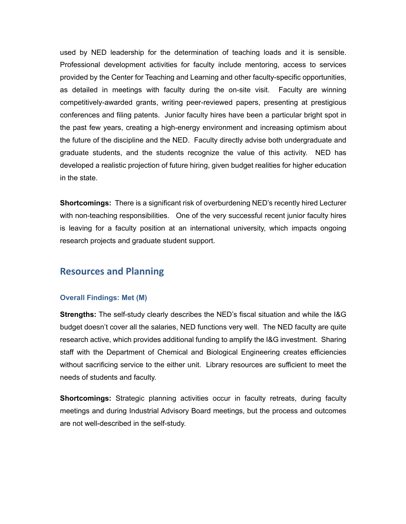used by NED leadership for the determination of teaching loads and it is sensible. Professional development activities for faculty include mentoring, access to services provided by the Center for Teaching and Learning and other faculty-specific opportunities, as detailed in meetings with faculty during the on-site visit. Faculty are winning competitively-awarded grants, writing peer-reviewed papers, presenting at prestigious conferences and filing patents. Junior faculty hires have been a particular bright spot in the past few years, creating a high-energy environment and increasing optimism about the future of the discipline and the NED. Faculty directly advise both undergraduate and graduate students, and the students recognize the value of this activity. NED has developed a realistic projection of future hiring, given budget realities for higher education in the state.

**Shortcomings:** There is a significant risk of overburdening NED's recently hired Lecturer with non-teaching responsibilities. One of the very successful recent junior faculty hires is leaving for a faculty position at an international university, which impacts ongoing research projects and graduate student support.

#### **Resources and Planning**

#### **Overall Findings: Met (M)**

**Strengths:** The self-study clearly describes the NED's fiscal situation and while the I&G budget doesn't cover all the salaries, NED functions very well. The NED faculty are quite research active, which provides additional funding to amplify the I&G investment. Sharing staff with the Department of Chemical and Biological Engineering creates efficiencies without sacrificing service to the either unit. Library resources are sufficient to meet the needs of students and faculty.

**Shortcomings:** Strategic planning activities occur in faculty retreats, during faculty meetings and during Industrial Advisory Board meetings, but the process and outcomes are not well-described in the self-study.